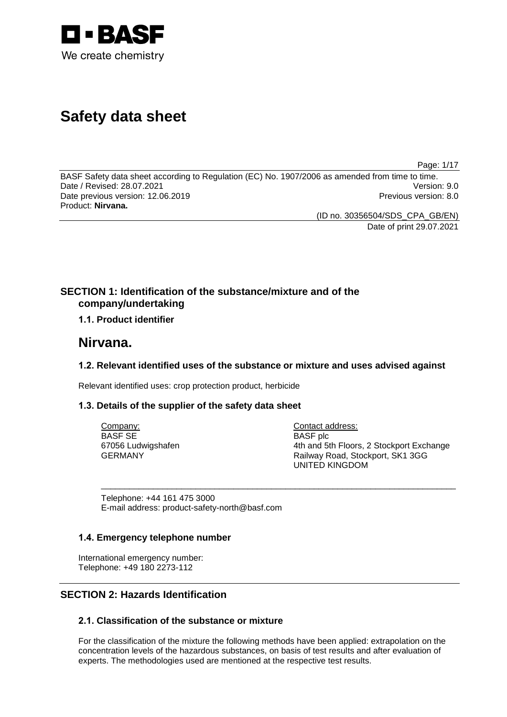

# **Safety data sheet**

Page: 1/17

BASF Safety data sheet according to Regulation (EC) No. 1907/2006 as amended from time to time.<br>Date / Revised: 28.07.2021 Date / Revised: 28.07.2021 Date previous version: 12.06.2019 **Previous version: 8.0** Previous version: 8.0 Product: **Nirvana.**

(ID no. 30356504/SDS\_CPA\_GB/EN)

Date of print 29.07.2021

# **SECTION 1: Identification of the substance/mixture and of the company/undertaking**

# **1.1. Product identifier**

# **Nirvana.**

# **1.2. Relevant identified uses of the substance or mixture and uses advised against**

\_\_\_\_\_\_\_\_\_\_\_\_\_\_\_\_\_\_\_\_\_\_\_\_\_\_\_\_\_\_\_\_\_\_\_\_\_\_\_\_\_\_\_\_\_\_\_\_\_\_\_\_\_\_\_\_\_\_\_\_\_\_\_\_\_\_\_\_\_\_\_\_\_\_\_

Relevant identified uses: crop protection product, herbicide

# **1.3. Details of the supplier of the safety data sheet**

Company: BASF SE 67056 Ludwigshafen GERMANY

Contact address: BASF plc 4th and 5th Floors, 2 Stockport Exchange Railway Road, Stockport, SK1 3GG UNITED KINGDOM

Telephone: +44 161 475 3000 E-mail address: product-safety-north@basf.com

# **1.4. Emergency telephone number**

International emergency number: Telephone: +49 180 2273-112

# **SECTION 2: Hazards Identification**

# **2.1. Classification of the substance or mixture**

For the classification of the mixture the following methods have been applied: extrapolation on the concentration levels of the hazardous substances, on basis of test results and after evaluation of experts. The methodologies used are mentioned at the respective test results.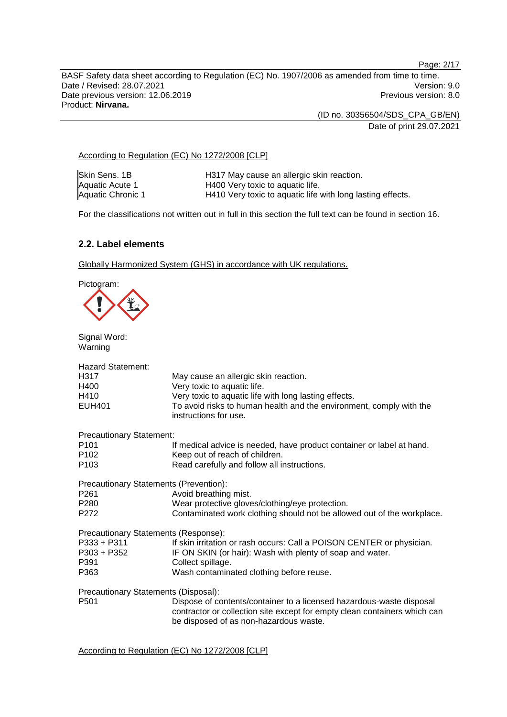Page: 2/17

BASF Safety data sheet according to Regulation (EC) No. 1907/2006 as amended from time to time. Date / Revised: 28.07.2021 Version: 9.0<br>Date previous version: 12.06.2019 Version: 9.0 Date previous version: 12.06.2019 Product: **Nirvana.**

> (ID no. 30356504/SDS\_CPA\_GB/EN) Date of print 29.07.2021

### According to Regulation (EC) No 1272/2008 [CLP]

| Skin Sens. 1B     | H317 May cause an allergic skin reaction.                  |
|-------------------|------------------------------------------------------------|
| Aquatic Acute 1   | H400 Very toxic to aquatic life.                           |
| Aquatic Chronic 1 | H410 Very toxic to aquatic life with long lasting effects. |

For the classifications not written out in full in this section the full text can be found in section 16.

# **2.2. Label elements**

Globally Harmonized System (GHS) in accordance with UK regulations.

Pictogram:



Signal Word: Warning

| <b>Hazard Statement:</b>               |                                                                                                                                                                                             |
|----------------------------------------|---------------------------------------------------------------------------------------------------------------------------------------------------------------------------------------------|
| H317                                   | May cause an allergic skin reaction.                                                                                                                                                        |
| H400                                   | Very toxic to aquatic life.                                                                                                                                                                 |
| H410                                   | Very toxic to aquatic life with long lasting effects.                                                                                                                                       |
| <b>EUH401</b>                          | To avoid risks to human health and the environment, comply with the<br>instructions for use.                                                                                                |
| <b>Precautionary Statement:</b>        |                                                                                                                                                                                             |
| P <sub>101</sub>                       | If medical advice is needed, have product container or label at hand.                                                                                                                       |
| P <sub>102</sub>                       | Keep out of reach of children.                                                                                                                                                              |
| P <sub>103</sub>                       | Read carefully and follow all instructions.                                                                                                                                                 |
| Precautionary Statements (Prevention): |                                                                                                                                                                                             |
| P <sub>261</sub>                       | Avoid breathing mist.                                                                                                                                                                       |
| P280                                   | Wear protective gloves/clothing/eye protection.                                                                                                                                             |
| P272                                   | Contaminated work clothing should not be allowed out of the workplace.                                                                                                                      |
| Precautionary Statements (Response):   |                                                                                                                                                                                             |
| P333 + P311                            | If skin irritation or rash occurs: Call a POISON CENTER or physician.                                                                                                                       |
| P303 + P352                            | IF ON SKIN (or hair): Wash with plenty of soap and water.                                                                                                                                   |
| P391                                   | Collect spillage.                                                                                                                                                                           |
| P363                                   | Wash contaminated clothing before reuse.                                                                                                                                                    |
| Precautionary Statements (Disposal):   |                                                                                                                                                                                             |
| P <sub>501</sub>                       | Dispose of contents/container to a licensed hazardous-waste disposal<br>contractor or collection site except for empty clean containers which can<br>be disposed of as non-hazardous waste. |

According to Regulation (EC) No 1272/2008 [CLP]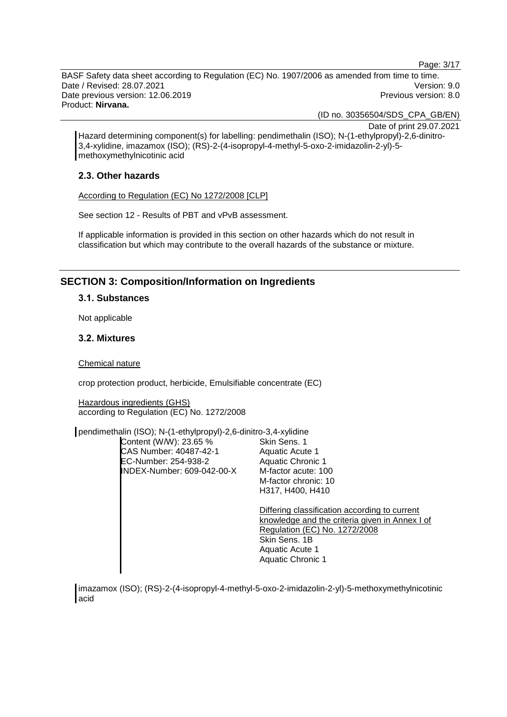Page: 3/17

BASF Safety data sheet according to Regulation (EC) No. 1907/2006 as amended from time to time. Date / Revised: 28.07.2021 Version: 9.0 Date previous version: 12.06.2019 **Previous version: 8.0** Previous version: 8.0 Product: **Nirvana.**

(ID no. 30356504/SDS\_CPA\_GB/EN)

Date of print 29.07.2021

Hazard determining component(s) for labelling: pendimethalin (ISO); N-(1-ethylpropyl)-2,6-dinitro-3,4-xylidine, imazamox (ISO); (RS)-2-(4-isopropyl-4-methyl-5-oxo-2-imidazolin-2-yl)-5 methoxymethylnicotinic acid

### **2.3. Other hazards**

According to Regulation (EC) No 1272/2008 [CLP]

See section 12 - Results of PBT and vPvB assessment.

If applicable information is provided in this section on other hazards which do not result in classification but which may contribute to the overall hazards of the substance or mixture.

# **SECTION 3: Composition/Information on Ingredients**

#### **3.1. Substances**

Not applicable

# **3.2. Mixtures**

Chemical nature

crop protection product, herbicide, Emulsifiable concentrate (EC)

Hazardous ingredients (GHS) according to Regulation (EC) No. 1272/2008

pendimethalin (ISO); N-(1-ethylpropyl)-2,6-dinitro-3,4-xylidine

| Content (W/W): 23.65 %      | Skin Sens. 1                                                                                                                                                                                     |
|-----------------------------|--------------------------------------------------------------------------------------------------------------------------------------------------------------------------------------------------|
| CAS Number: 40487-42-1      | Aquatic Acute 1                                                                                                                                                                                  |
| <b>EC-Number: 254-938-2</b> | Aquatic Chronic 1                                                                                                                                                                                |
| INDEX-Number: 609-042-00-X  | M-factor acute: 100                                                                                                                                                                              |
|                             | M-factor chronic: 10                                                                                                                                                                             |
|                             | H317. H400. H410                                                                                                                                                                                 |
|                             | Differing classification according to current<br>knowledge and the criteria given in Annex I of<br>Regulation (EC) No. 1272/2008<br>Skin Sens, 1B<br>Aquatic Acute 1<br><b>Aquatic Chronic 1</b> |

imazamox (ISO); (RS)-2-(4-isopropyl-4-methyl-5-oxo-2-imidazolin-2-yl)-5-methoxymethylnicotinic acid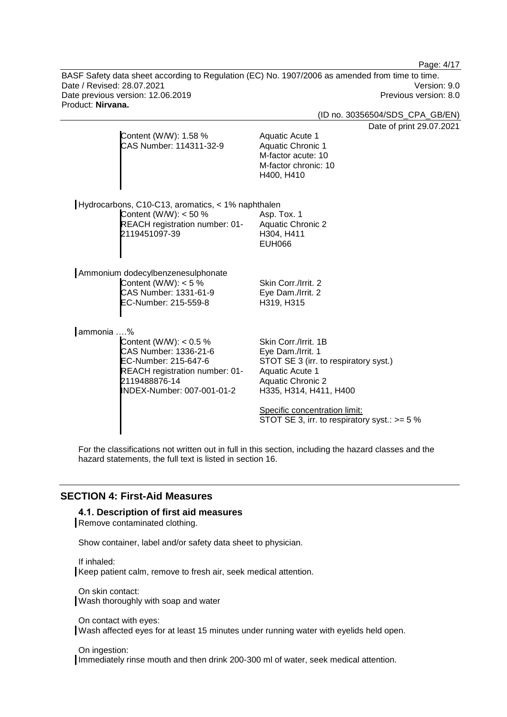Page: 4/17

BASF Safety data sheet according to Regulation (EC) No. 1907/2006 as amended from time to time. Date / Revised: 28.07.2021 Version: 9.0<br>Date previous version: 12.06.2019 Version: 9.0 Date previous version: 12.06.2019 Product: **Nirvana.**

(ID no. 30356504/SDS\_CPA\_GB/EN)

 $29.07.2021$ 

|                                                                                                                                                             | Date of print 2                                                                                                                                                                                                                                |
|-------------------------------------------------------------------------------------------------------------------------------------------------------------|------------------------------------------------------------------------------------------------------------------------------------------------------------------------------------------------------------------------------------------------|
| Content (W/W): 1.58 %<br>CAS Number: 114311-32-9                                                                                                            | Aquatic Acute 1<br><b>Aquatic Chronic 1</b><br>M-factor acute: 10<br>M-factor chronic: 10<br>H400, H410                                                                                                                                        |
| Hydrocarbons, C10-C13, aromatics, < 1% naphthalen                                                                                                           |                                                                                                                                                                                                                                                |
| Content (W/W): $<$ 50 %<br>REACH registration number: 01-<br>2119451097-39                                                                                  | Asp. Tox. 1<br><b>Aquatic Chronic 2</b><br>H304, H411<br><b>EUH066</b>                                                                                                                                                                         |
| Ammonium dodecylbenzenesulphonate                                                                                                                           |                                                                                                                                                                                                                                                |
| Content (W/W): $<$ 5 %<br>CAS Number: 1331-61-9<br>EC-Number: 215-559-8                                                                                     | Skin Corr./Irrit. 2<br>Eye Dam./Irrit. 2<br>H319, H315                                                                                                                                                                                         |
| ammonia %                                                                                                                                                   |                                                                                                                                                                                                                                                |
| Content (W/W): $< 0.5 \%$<br>CAS Number: 1336-21-6<br>EC-Number: 215-647-6<br>REACH registration number: 01-<br>2119488876-14<br>INDEX-Number: 007-001-01-2 | Skin Corr./Irrit. 1B<br>Eye Dam./Irrit. 1<br>STOT SE 3 (irr. to respiratory syst.)<br>Aquatic Acute 1<br><b>Aquatic Chronic 2</b><br>H335, H314, H411, H400<br>Specific concentration limit:<br>STOT SE 3, irr. to respiratory syst.: $>= 5\%$ |

For the classifications not written out in full in this section, including the hazard classes and the hazard statements, the full text is listed in section 16.

# **SECTION 4: First-Aid Measures**

# **4.1. Description of first aid measures**

Remove contaminated clothing.

Show container, label and/or safety data sheet to physician.

If inhaled:

Keep patient calm, remove to fresh air, seek medical attention.

On skin contact: Wash thoroughly with soap and water

On contact with eyes:

Wash affected eyes for at least 15 minutes under running water with eyelids held open.

On ingestion:

Immediately rinse mouth and then drink 200-300 ml of water, seek medical attention.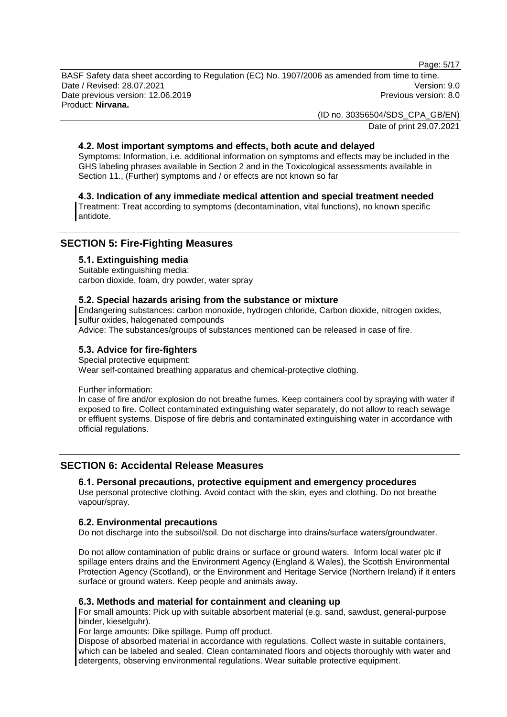Page: 5/17

BASF Safety data sheet according to Regulation (EC) No. 1907/2006 as amended from time to time. Date / Revised: 28.07.2021 Version: 9.0 Date previous version: 12.06.2019 **Previous version: 8.0** Previous version: 8.0 Product: **Nirvana.**

> (ID no. 30356504/SDS\_CPA\_GB/EN) Date of print 29.07.2021

# **4.2. Most important symptoms and effects, both acute and delayed**

Symptoms: Information, i.e. additional information on symptoms and effects may be included in the GHS labeling phrases available in Section 2 and in the Toxicological assessments available in Section 11., (Further) symptoms and / or effects are not known so far

### **4.3. Indication of any immediate medical attention and special treatment needed**

Treatment: Treat according to symptoms (decontamination, vital functions), no known specific antidote.

# **SECTION 5: Fire-Fighting Measures**

#### **5.1. Extinguishing media**

Suitable extinguishing media: carbon dioxide, foam, dry powder, water spray

#### **5.2. Special hazards arising from the substance or mixture**

Endangering substances: carbon monoxide, hydrogen chloride, Carbon dioxide, nitrogen oxides, sulfur oxides, halogenated compounds

Advice: The substances/groups of substances mentioned can be released in case of fire.

### **5.3. Advice for fire-fighters**

Special protective equipment: Wear self-contained breathing apparatus and chemical-protective clothing.

#### Further information:

In case of fire and/or explosion do not breathe fumes. Keep containers cool by spraying with water if exposed to fire. Collect contaminated extinguishing water separately, do not allow to reach sewage or effluent systems. Dispose of fire debris and contaminated extinguishing water in accordance with official regulations.

# **SECTION 6: Accidental Release Measures**

#### **6.1. Personal precautions, protective equipment and emergency procedures**

Use personal protective clothing. Avoid contact with the skin, eyes and clothing. Do not breathe vapour/spray.

#### **6.2. Environmental precautions**

Do not discharge into the subsoil/soil. Do not discharge into drains/surface waters/groundwater.

Do not allow contamination of public drains or surface or ground waters. Inform local water plc if spillage enters drains and the Environment Agency (England & Wales), the Scottish Environmental Protection Agency (Scotland), or the Environment and Heritage Service (Northern Ireland) if it enters surface or ground waters. Keep people and animals away.

#### **6.3. Methods and material for containment and cleaning up**

For small amounts: Pick up with suitable absorbent material (e.g. sand, sawdust, general-purpose binder, kieselguhr).

For large amounts: Dike spillage. Pump off product.

Dispose of absorbed material in accordance with regulations. Collect waste in suitable containers, which can be labeled and sealed. Clean contaminated floors and objects thoroughly with water and detergents, observing environmental regulations. Wear suitable protective equipment.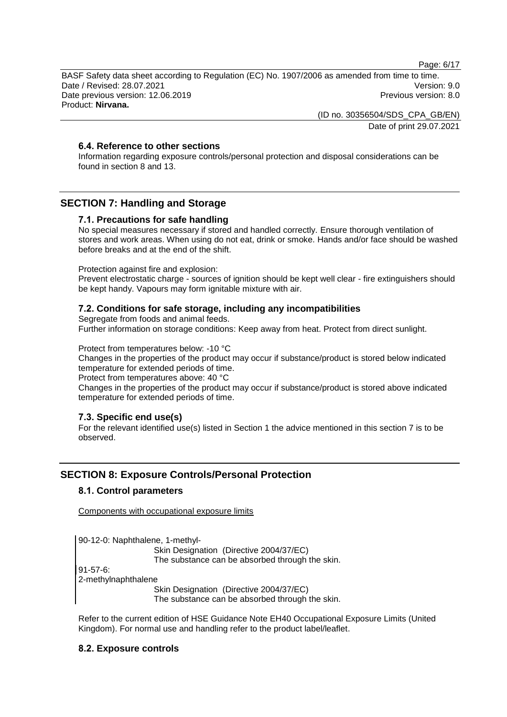Page: 6/17

BASF Safety data sheet according to Regulation (EC) No. 1907/2006 as amended from time to time. Date / Revised: 28.07.2021 Version: 9.0 Date previous version: 12.06.2019 **Previous version: 8.0** Previous version: 8.0 Product: **Nirvana.**

> (ID no. 30356504/SDS\_CPA\_GB/EN) Date of print 29.07.2021

# **6.4. Reference to other sections**

Information regarding exposure controls/personal protection and disposal considerations can be found in section 8 and 13.

# **SECTION 7: Handling and Storage**

# **7.1. Precautions for safe handling**

No special measures necessary if stored and handled correctly. Ensure thorough ventilation of stores and work areas. When using do not eat, drink or smoke. Hands and/or face should be washed before breaks and at the end of the shift.

#### Protection against fire and explosion:

Prevent electrostatic charge - sources of ignition should be kept well clear - fire extinguishers should be kept handy. Vapours may form ignitable mixture with air.

### **7.2. Conditions for safe storage, including any incompatibilities**

Segregate from foods and animal feeds. Further information on storage conditions: Keep away from heat. Protect from direct sunlight.

Protect from temperatures below: -10 °C

Changes in the properties of the product may occur if substance/product is stored below indicated temperature for extended periods of time.

Protect from temperatures above: 40 °C

Changes in the properties of the product may occur if substance/product is stored above indicated temperature for extended periods of time.

# **7.3. Specific end use(s)**

For the relevant identified use(s) listed in Section 1 the advice mentioned in this section 7 is to be observed.

# **SECTION 8: Exposure Controls/Personal Protection**

### **8.1. Control parameters**

Components with occupational exposure limits

90-12-0: Naphthalene, 1-methyl-Skin Designation (Directive 2004/37/EC) The substance can be absorbed through the skin. 91-57-6: 2-methylnaphthalene Skin Designation (Directive 2004/37/EC) The substance can be absorbed through the skin.

Refer to the current edition of HSE Guidance Note EH40 Occupational Exposure Limits (United Kingdom). For normal use and handling refer to the product label/leaflet.

# **8.2. Exposure controls**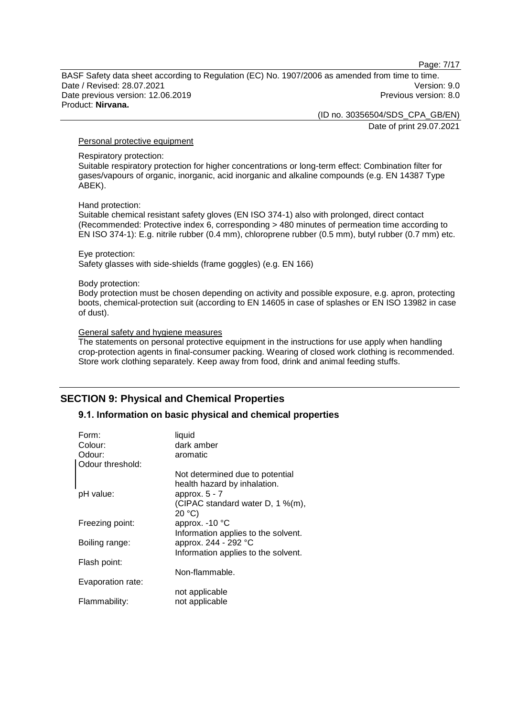Page: 7/17

BASF Safety data sheet according to Regulation (EC) No. 1907/2006 as amended from time to time. Date / Revised: 28.07.2021 Version: 9.0 Date previous version: 12.06.2019 **Previous version: 8.0** Previous version: 8.0 Product: **Nirvana.**

(ID no. 30356504/SDS\_CPA\_GB/EN)

Date of print 29.07.2021

### Personal protective equipment

#### Respiratory protection:

Suitable respiratory protection for higher concentrations or long-term effect: Combination filter for gases/vapours of organic, inorganic, acid inorganic and alkaline compounds (e.g. EN 14387 Type ABEK).

#### Hand protection:

Suitable chemical resistant safety gloves (EN ISO 374-1) also with prolonged, direct contact (Recommended: Protective index 6, corresponding > 480 minutes of permeation time according to EN ISO 374-1): E.g. nitrile rubber (0.4 mm), chloroprene rubber (0.5 mm), butyl rubber (0.7 mm) etc.

#### Eye protection:

Safety glasses with side-shields (frame goggles) (e.g. EN 166)

#### Body protection:

Body protection must be chosen depending on activity and possible exposure, e.g. apron, protecting boots, chemical-protection suit (according to EN 14605 in case of splashes or EN ISO 13982 in case of dust).

#### General safety and hygiene measures

The statements on personal protective equipment in the instructions for use apply when handling crop-protection agents in final-consumer packing. Wearing of closed work clothing is recommended. Store work clothing separately. Keep away from food, drink and animal feeding stuffs.

# **SECTION 9: Physical and Chemical Properties**

# **9.1. Information on basic physical and chemical properties**

| Form:<br>Colour:  | liquid<br>dark amber                                            |
|-------------------|-----------------------------------------------------------------|
| Odour:            | aromatic                                                        |
| Odour threshold:  |                                                                 |
|                   | Not determined due to potential<br>health hazard by inhalation. |
| pH value:         | approx. $5 - 7$                                                 |
|                   | (CIPAC standard water D, 1 %(m),                                |
|                   | 20 °C                                                           |
| Freezing point:   | approx. - 10 °C                                                 |
|                   | Information applies to the solvent.                             |
| Boiling range:    | approx. 244 - 292 °C                                            |
|                   | Information applies to the solvent.                             |
| Flash point:      |                                                                 |
|                   | Non-flammable.                                                  |
| Evaporation rate: |                                                                 |
|                   | not applicable                                                  |
| Flammability:     | not applicable                                                  |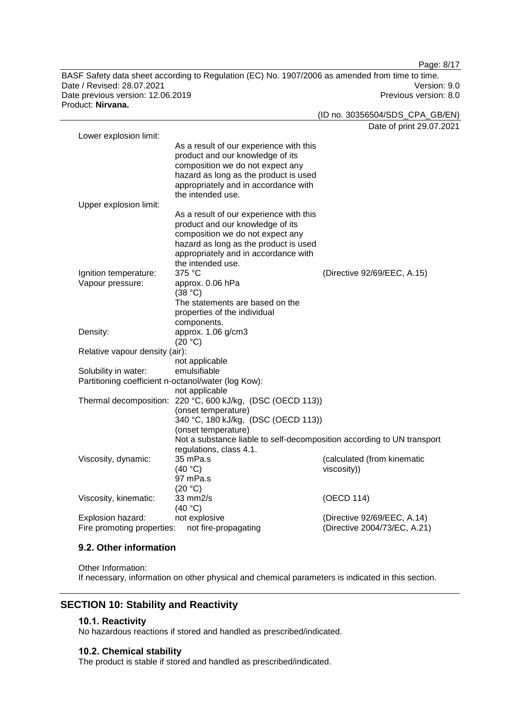BASF Safety data sheet according to Regulation (EC) No. 1907/2006 as amended from time to time. Date / Revised: 28.07.2021 Version: 9.0 Date previous version: 12.06.2019 **Previous version: 8.0** Previous version: 8.0 Product: **Nirvana.**

Date of print 29.07.2021 Lower explosion limit: As a result of our experience with this product and our knowledge of its composition we do not expect any hazard as long as the product is used appropriately and in accordance with the intended use. Upper explosion limit: As a result of our experience with this product and our knowledge of its composition we do not expect any hazard as long as the product is used appropriately and in accordance with the intended use.<br> $375 \text{ °C}$ Ignition temperature: 375 °C (Directive 92/69/EEC, A.15) Vapour pressure: approx. 0.06 hPa (38 °C) The statements are based on the properties of the individual components. Density: approx. 1.06 g/cm3 (20 °C) Relative vapour density (air): not applicable Solubility in water: emulsifiable Partitioning coefficient n-octanol/water (log Kow): not applicable Thermal decomposition: 220 °C, 600 kJ/kg, (DSC (OECD 113)) (onset temperature) 340 °C, 180 kJ/kg, (DSC (OECD 113)) (onset temperature) Not a substance liable to self-decomposition according to UN transport regulations, class 4.1. Viscosity, dynamic: 35 mPa.s  $(40 °C)$ (calculated (from kinematic viscosity)) 97 mPa.s  $(20 °C)$ Viscosity, kinematic: 33 mm2/s  $(40 °C)$ (OECD 114) Explosion hazard: not explosive (Directive 92/69/EEC, A.14) Fire promoting properties: not fire-propagating (Directive 2004/73/EC, A.21)

#### **9.2. Other information**

Other Information: If necessary, information on other physical and chemical parameters is indicated in this section.

# **SECTION 10: Stability and Reactivity**

#### **10.1. Reactivity**

No hazardous reactions if stored and handled as prescribed/indicated.

#### **10.2. Chemical stability**

The product is stable if stored and handled as prescribed/indicated.

Page: 8/17

(ID no. 30356504/SDS\_CPA\_GB/EN)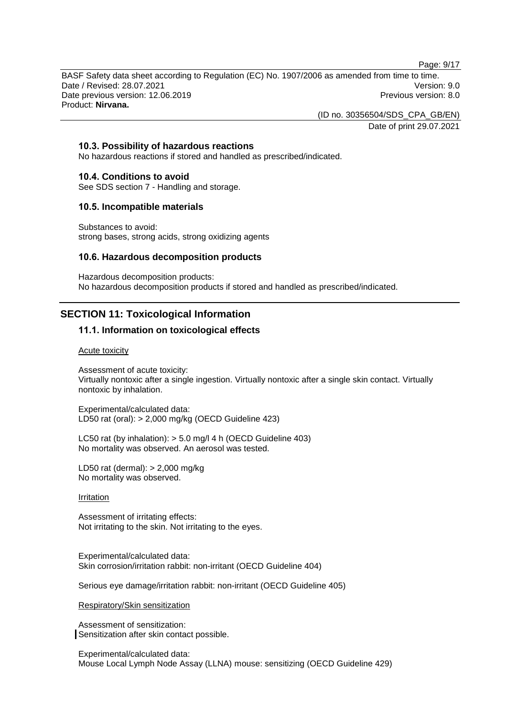Page: 9/17

BASF Safety data sheet according to Regulation (EC) No. 1907/2006 as amended from time to time. Date / Revised: 28.07.2021 Version: 9.0 Date previous version: 12.06.2019 **Previous version: 8.0** Previous version: 8.0 Product: **Nirvana.**

(ID no. 30356504/SDS\_CPA\_GB/EN)

Date of print 29.07.2021

# **10.3. Possibility of hazardous reactions**

No hazardous reactions if stored and handled as prescribed/indicated.

#### **10.4. Conditions to avoid**

See SDS section 7 - Handling and storage.

#### **10.5. Incompatible materials**

Substances to avoid: strong bases, strong acids, strong oxidizing agents

### **10.6. Hazardous decomposition products**

Hazardous decomposition products: No hazardous decomposition products if stored and handled as prescribed/indicated.

# **SECTION 11: Toxicological Information**

# **11.1. Information on toxicological effects**

#### Acute toxicity

Assessment of acute toxicity: Virtually nontoxic after a single ingestion. Virtually nontoxic after a single skin contact. Virtually nontoxic by inhalation.

Experimental/calculated data: LD50 rat (oral): > 2,000 mg/kg (OECD Guideline 423)

LC50 rat (by inhalation): > 5.0 mg/l 4 h (OECD Guideline 403) No mortality was observed. An aerosol was tested.

LD50 rat (dermal): > 2,000 mg/kg No mortality was observed.

#### Irritation

Assessment of irritating effects: Not irritating to the skin. Not irritating to the eyes.

Experimental/calculated data: Skin corrosion/irritation rabbit: non-irritant (OECD Guideline 404)

Serious eye damage/irritation rabbit: non-irritant (OECD Guideline 405)

Respiratory/Skin sensitization

Assessment of sensitization: Sensitization after skin contact possible.

Experimental/calculated data: Mouse Local Lymph Node Assay (LLNA) mouse: sensitizing (OECD Guideline 429)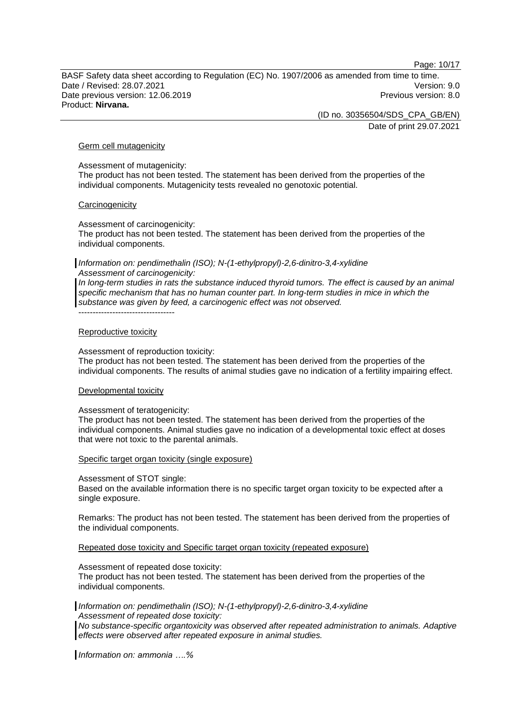Page: 10/17

BASF Safety data sheet according to Regulation (EC) No. 1907/2006 as amended from time to time. Date / Revised: 28.07.2021 Version: 9.0 Date previous version: 12.06.2019 **Previous version: 8.0** Previous version: 8.0 Product: **Nirvana.**

(ID no. 30356504/SDS\_CPA\_GB/EN)

Date of print 29.07.2021

#### Germ cell mutagenicity

Assessment of mutagenicity:

The product has not been tested. The statement has been derived from the properties of the individual components. Mutagenicity tests revealed no genotoxic potential.

#### **Carcinogenicity**

Assessment of carcinogenicity:

The product has not been tested. The statement has been derived from the properties of the individual components.

*Information on: pendimethalin (ISO); N-(1-ethylpropyl)-2,6-dinitro-3,4-xylidine Assessment of carcinogenicity:*

*In long-term studies in rats the substance induced thyroid tumors. The effect is caused by an animal specific mechanism that has no human counter part. In long-term studies in mice in which the substance was given by feed, a carcinogenic effect was not observed.*

#### Reproductive toxicity

----------------------------------

Assessment of reproduction toxicity:

The product has not been tested. The statement has been derived from the properties of the individual components. The results of animal studies gave no indication of a fertility impairing effect.

#### Developmental toxicity

#### Assessment of teratogenicity:

The product has not been tested. The statement has been derived from the properties of the individual components. Animal studies gave no indication of a developmental toxic effect at doses that were not toxic to the parental animals.

#### Specific target organ toxicity (single exposure)

Assessment of STOT single:

Based on the available information there is no specific target organ toxicity to be expected after a single exposure.

Remarks: The product has not been tested. The statement has been derived from the properties of the individual components.

Repeated dose toxicity and Specific target organ toxicity (repeated exposure)

Assessment of repeated dose toxicity:

The product has not been tested. The statement has been derived from the properties of the individual components.

*Information on: pendimethalin (ISO); N-(1-ethylpropyl)-2,6-dinitro-3,4-xylidine Assessment of repeated dose toxicity:*

*No substance-specific organtoxicity was observed after repeated administration to animals. Adaptive effects were observed after repeated exposure in animal studies.*

*Information on: ammonia ….%*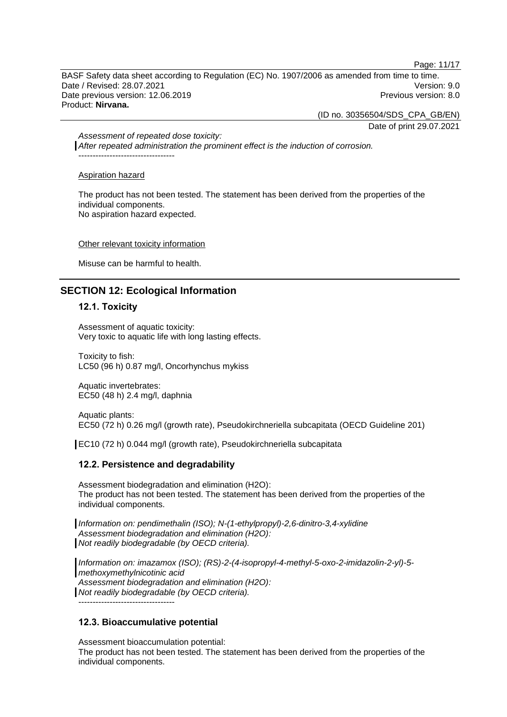Page: 11/17

BASF Safety data sheet according to Regulation (EC) No. 1907/2006 as amended from time to time. Date / Revised: 28.07.2021 Version: 9.0 Date previous version: 12.06.2019 **Previous version: 8.0** Previous version: 8.0 Product: **Nirvana.**

(ID no. 30356504/SDS\_CPA\_GB/EN)

Date of print 29.07.2021

*Assessment of repeated dose toxicity: After repeated administration the prominent effect is the induction of corrosion.* ----------------------------------

#### Aspiration hazard

The product has not been tested. The statement has been derived from the properties of the individual components. No aspiration hazard expected.

#### Other relevant toxicity information

Misuse can be harmful to health.

# **SECTION 12: Ecological Information**

### **12.1. Toxicity**

Assessment of aquatic toxicity: Very toxic to aquatic life with long lasting effects.

Toxicity to fish: LC50 (96 h) 0.87 mg/l, Oncorhynchus mykiss

Aquatic invertebrates: EC50 (48 h) 2.4 mg/l, daphnia

Aquatic plants: EC50 (72 h) 0.26 mg/l (growth rate), Pseudokirchneriella subcapitata (OECD Guideline 201)

EC10 (72 h) 0.044 mg/l (growth rate), Pseudokirchneriella subcapitata

# **12.2. Persistence and degradability**

Assessment biodegradation and elimination (H2O): The product has not been tested. The statement has been derived from the properties of the individual components.

*Information on: pendimethalin (ISO); N-(1-ethylpropyl)-2,6-dinitro-3,4-xylidine Assessment biodegradation and elimination (H2O): Not readily biodegradable (by OECD criteria).*

*Information on: imazamox (ISO); (RS)-2-(4-isopropyl-4-methyl-5-oxo-2-imidazolin-2-yl)-5 methoxymethylnicotinic acid Assessment biodegradation and elimination (H2O): Not readily biodegradable (by OECD criteria).* ----------------------------------

# **12.3. Bioaccumulative potential**

Assessment bioaccumulation potential: The product has not been tested. The statement has been derived from the properties of the individual components.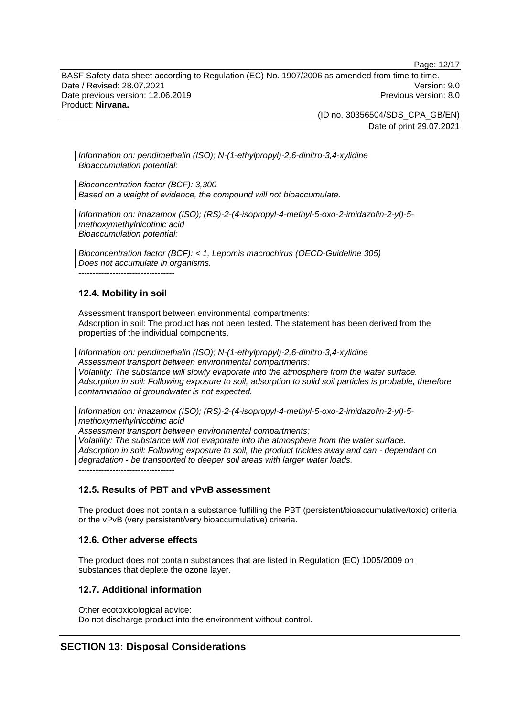Page: 12/17

BASF Safety data sheet according to Regulation (EC) No. 1907/2006 as amended from time to time. Date / Revised: 28.07.2021 Version: 9.0 Date previous version: 12.06.2019 **Previous version: 8.0** Previous version: 8.0 Product: **Nirvana.**

> (ID no. 30356504/SDS\_CPA\_GB/EN) Date of print 29.07.2021

*Information on: pendimethalin (ISO); N-(1-ethylpropyl)-2,6-dinitro-3,4-xylidine Bioaccumulation potential:*

*Bioconcentration factor (BCF): 3,300 Based on a weight of evidence, the compound will not bioaccumulate.*

*Information on: imazamox (ISO); (RS)-2-(4-isopropyl-4-methyl-5-oxo-2-imidazolin-2-yl)-5 methoxymethylnicotinic acid Bioaccumulation potential:*

*Bioconcentration factor (BCF): < 1, Lepomis macrochirus (OECD-Guideline 305) Does not accumulate in organisms.* ----------------------------------

# **12.4. Mobility in soil**

Assessment transport between environmental compartments: Adsorption in soil: The product has not been tested. The statement has been derived from the properties of the individual components.

*Information on: pendimethalin (ISO); N-(1-ethylpropyl)-2,6-dinitro-3,4-xylidine Assessment transport between environmental compartments: Volatility: The substance will slowly evaporate into the atmosphere from the water surface. Adsorption in soil: Following exposure to soil, adsorption to solid soil particles is probable, therefore contamination of groundwater is not expected.*

*Information on: imazamox (ISO); (RS)-2-(4-isopropyl-4-methyl-5-oxo-2-imidazolin-2-yl)-5 methoxymethylnicotinic acid*

*Assessment transport between environmental compartments:*

*Volatility: The substance will not evaporate into the atmosphere from the water surface. Adsorption in soil: Following exposure to soil, the product trickles away and can - dependant on degradation - be transported to deeper soil areas with larger water loads.* ----------------------------------

# **12.5. Results of PBT and vPvB assessment**

The product does not contain a substance fulfilling the PBT (persistent/bioaccumulative/toxic) criteria or the vPvB (very persistent/very bioaccumulative) criteria.

# **12.6. Other adverse effects**

The product does not contain substances that are listed in Regulation (EC) 1005/2009 on substances that deplete the ozone layer.

# **12.7. Additional information**

Other ecotoxicological advice: Do not discharge product into the environment without control.

# **SECTION 13: Disposal Considerations**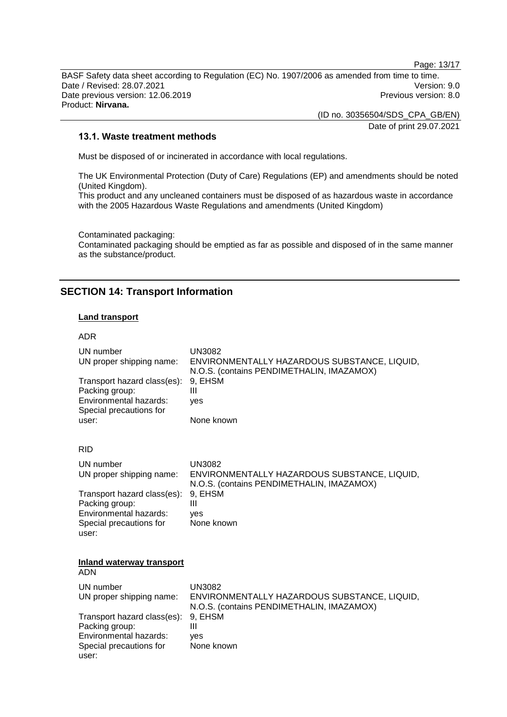Page: 13/17

BASF Safety data sheet according to Regulation (EC) No. 1907/2006 as amended from time to time. Date / Revised: 28.07.2021 Version: 9.0<br>Date previous version: 12.06.2019 Version: 9.0 Date previous version: 12.06.2019 Product: **Nirvana.**

> (ID no. 30356504/SDS\_CPA\_GB/EN) Date of print 29.07.2021

### **13.1. Waste treatment methods**

Must be disposed of or incinerated in accordance with local regulations.

The UK Environmental Protection (Duty of Care) Regulations (EP) and amendments should be noted (United Kingdom).

This product and any uncleaned containers must be disposed of as hazardous waste in accordance with the 2005 Hazardous Waste Regulations and amendments (United Kingdom)

Contaminated packaging:

Contaminated packaging should be emptied as far as possible and disposed of in the same manner as the substance/product.

# **SECTION 14: Transport Information**

#### **Land transport**

#### ADR

| UN number<br>UN proper shipping name:<br>Transport hazard class(es):<br>Packing group:<br>Environmental hazards:<br>Special precautions for<br>user: | <b>UN3082</b><br>ENVIRONMENTALLY HAZARDOUS SUBSTANCE, LIQUID,<br>N.O.S. (contains PENDIMETHALIN, IMAZAMOX)<br>9. EHSM<br>Ш<br>ves<br>None known |
|------------------------------------------------------------------------------------------------------------------------------------------------------|-------------------------------------------------------------------------------------------------------------------------------------------------|
| <b>RID</b>                                                                                                                                           |                                                                                                                                                 |
| UN number<br>UN proper shipping name:                                                                                                                | <b>UN3082</b><br>ENVIRONMENTALLY HAZARDOUS SUBSTANCE, LIQUID,<br>N.O.S. (contains PENDIMETHALIN, IMAZAMOX)                                      |
| Transport hazard class(es):<br>Packing group:<br>Environmental hazards:<br>Special precautions for<br>user:                                          | 9, EHSM<br>Ш<br>ves<br>None known                                                                                                               |
| <b>Inland waterway transport</b><br><b>ADN</b>                                                                                                       |                                                                                                                                                 |
| UN number<br>UN proper shipping name:                                                                                                                | <b>UN3082</b><br>ENVIRONMENTALLY HAZARDOUS SUBSTANCE, LIQUID,<br>N.O.S. (contains PENDIMETHALIN, IMAZAMOX)                                      |
| Transport hazard class(es):<br>Packing group:<br>Environmental hazards:<br>Special precautions for<br>user:                                          | 9, EHSM<br>Ш<br>yes<br>None known                                                                                                               |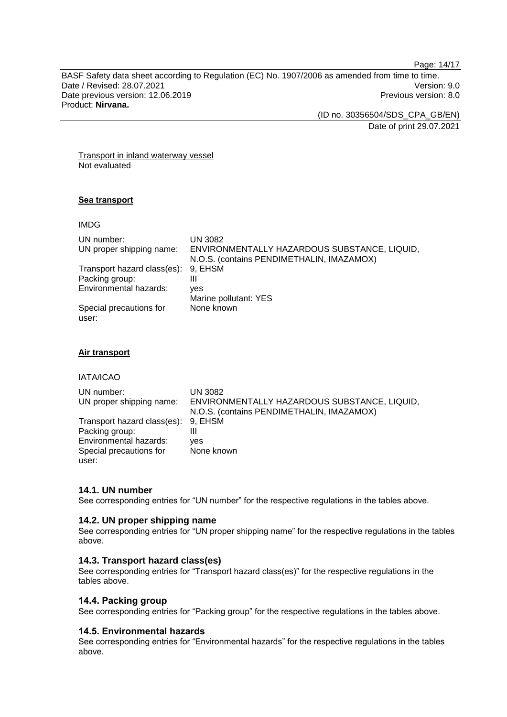Page: 14/17

BASF Safety data sheet according to Regulation (EC) No. 1907/2006 as amended from time to time. Date / Revised: 28.07.2021 Version: 9.0<br>Date previous version: 12.06.2019 Version: 9.0 Date previous version: 12.06.2019 Product: **Nirvana.**

(ID no. 30356504/SDS\_CPA\_GB/EN)

Date of print 29.07.2021

Transport in inland waterway vessel Not evaluated

# **Sea transport**

IMDG

| UN number:<br>UN proper shipping name: | UN 3082<br>ENVIRONMENTALLY HAZARDOUS SUBSTANCE, LIQUID, |
|----------------------------------------|---------------------------------------------------------|
|                                        | N.O.S. (contains PENDIMETHALIN, IMAZAMOX)               |
| Transport hazard class(es):            | 9, EHSM                                                 |
| Packing group:                         | Ш                                                       |
| Environmental hazards:                 | ves                                                     |
|                                        | Marine pollutant: YES                                   |
| Special precautions for<br>user:       | None known                                              |

### **Air transport**

IATA/ICAO

| UN number:<br>UN proper shipping name: | UN 3082<br>ENVIRONMENTALLY HAZARDOUS SUBSTANCE, LIQUID, |
|----------------------------------------|---------------------------------------------------------|
|                                        | N.O.S. (contains PENDIMETHALIN, IMAZAMOX)               |
| Transport hazard class(es): 9, EHSM    |                                                         |
| Packing group:                         | Ш                                                       |
| Environmental hazards:                 | ves                                                     |
| Special precautions for                | None known                                              |
| user:                                  |                                                         |

# **14.1. UN number**

See corresponding entries for "UN number" for the respective regulations in the tables above.

#### **14.2. UN proper shipping name**

See corresponding entries for "UN proper shipping name" for the respective regulations in the tables above.

### **14.3. Transport hazard class(es)**

See corresponding entries for "Transport hazard class(es)" for the respective regulations in the tables above.

### **14.4. Packing group**

See corresponding entries for "Packing group" for the respective regulations in the tables above.

# **14.5. Environmental hazards**

See corresponding entries for "Environmental hazards" for the respective regulations in the tables above.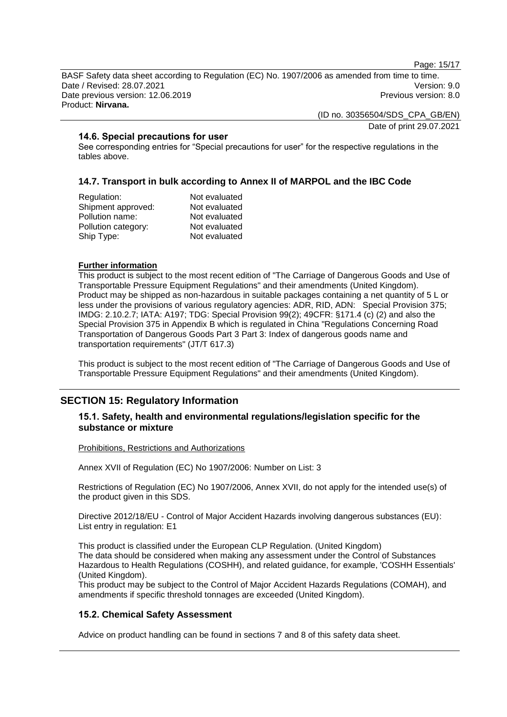Page: 15/17

BASF Safety data sheet according to Regulation (EC) No. 1907/2006 as amended from time to time. Date / Revised: 28.07.2021 Version: 9.0 Date previous version: 12.06.2019 **Previous version: 8.0** Previous version: 8.0 Product: **Nirvana.**

(ID no. 30356504/SDS\_CPA\_GB/EN)

Date of print 29.07.2021

# **14.6. Special precautions for user**

See corresponding entries for "Special precautions for user" for the respective regulations in the tables above.

# **14.7. Transport in bulk according to Annex II of MARPOL and the IBC Code**

| Regulation:         | Not evaluated |
|---------------------|---------------|
| Shipment approved:  | Not evaluated |
| Pollution name:     | Not evaluated |
| Pollution category: | Not evaluated |
| Ship Type:          | Not evaluated |
|                     |               |

#### **Further information**

This product is subject to the most recent edition of "The Carriage of Dangerous Goods and Use of Transportable Pressure Equipment Regulations" and their amendments (United Kingdom). Product may be shipped as non-hazardous in suitable packages containing a net quantity of 5 L or less under the provisions of various regulatory agencies: ADR, RID, ADN: Special Provision 375; IMDG: 2.10.2.7; IATA: A197; TDG: Special Provision 99(2); 49CFR: §171.4 (c) (2) and also the Special Provision 375 in Appendix B which is regulated in China "Regulations Concerning Road Transportation of Dangerous Goods Part 3 Part 3: Index of dangerous goods name and transportation requirements" (JT/T 617.3)

This product is subject to the most recent edition of "The Carriage of Dangerous Goods and Use of Transportable Pressure Equipment Regulations" and their amendments (United Kingdom).

# **SECTION 15: Regulatory Information**

### **15.1. Safety, health and environmental regulations/legislation specific for the substance or mixture**

#### Prohibitions, Restrictions and Authorizations

Annex XVII of Regulation (EC) No 1907/2006: Number on List: 3

Restrictions of Regulation (EC) No 1907/2006, Annex XVII, do not apply for the intended use(s) of the product given in this SDS.

Directive 2012/18/EU - Control of Major Accident Hazards involving dangerous substances (EU): List entry in regulation: E1

This product is classified under the European CLP Regulation. (United Kingdom) The data should be considered when making any assessment under the Control of Substances Hazardous to Health Regulations (COSHH), and related guidance, for example, 'COSHH Essentials' (United Kingdom).

This product may be subject to the Control of Major Accident Hazards Regulations (COMAH), and amendments if specific threshold tonnages are exceeded (United Kingdom).

# **15.2. Chemical Safety Assessment**

Advice on product handling can be found in sections 7 and 8 of this safety data sheet.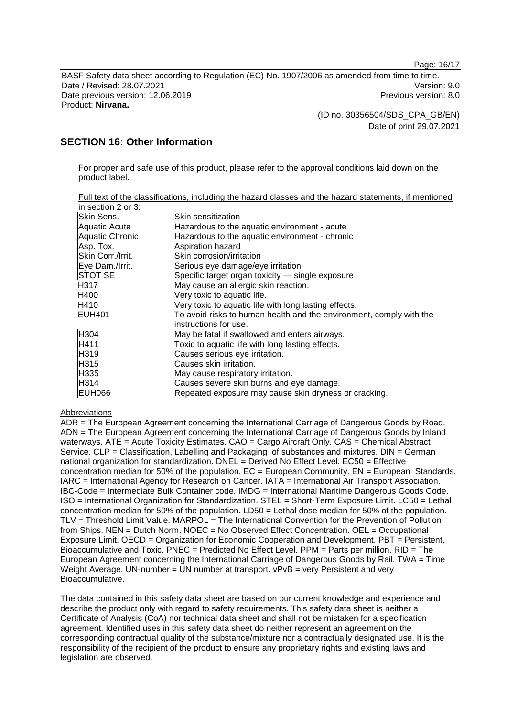Page: 16/17

BASF Safety data sheet according to Regulation (EC) No. 1907/2006 as amended from time to time. Date / Revised: 28.07.2021 Version: 9.0 Date previous version: 12.06.2019 **Previous version: 8.0** Previous version: 8.0 Product: **Nirvana.**

(ID no. 30356504/SDS\_CPA\_GB/EN)

Date of print 29.07.2021

# **SECTION 16: Other Information**

For proper and safe use of this product, please refer to the approval conditions laid down on the product label.

|                        | <u>Full text of the classifications, including the hazard classes and the hazard statements, if mentioned</u> |
|------------------------|---------------------------------------------------------------------------------------------------------------|
| in section 2 or 3:     |                                                                                                               |
| Skin Sens.             | Skin sensitization                                                                                            |
| <b>Aquatic Acute</b>   | Hazardous to the aquatic environment - acute                                                                  |
| <b>Aquatic Chronic</b> | Hazardous to the aquatic environment - chronic                                                                |
| Asp. Tox.              | Aspiration hazard                                                                                             |
| Skin Corr./Irrit.      | Skin corrosion/irritation                                                                                     |
| Eye Dam./Irrit.        | Serious eye damage/eye irritation                                                                             |
| <b>STOT SE</b>         | Specific target organ toxicity — single exposure                                                              |
| H317                   | May cause an allergic skin reaction.                                                                          |
| H400                   | Very toxic to aquatic life.                                                                                   |
| H410                   | Very toxic to aquatic life with long lasting effects.                                                         |
| EUH401                 | To avoid risks to human health and the environment, comply with the                                           |
|                        | instructions for use.                                                                                         |
| H304                   | May be fatal if swallowed and enters airways.                                                                 |
| H411                   | Toxic to aquatic life with long lasting effects.                                                              |
| H319                   | Causes serious eye irritation.                                                                                |
| H315                   | Causes skin irritation.                                                                                       |
| H335                   | May cause respiratory irritation.                                                                             |
| H314                   | Causes severe skin burns and eye damage.                                                                      |
| <b>EUH066</b>          | Repeated exposure may cause skin dryness or cracking.                                                         |

#### Abbreviations

ADR = The European Agreement concerning the International Carriage of Dangerous Goods by Road. ADN = The European Agreement concerning the International Carriage of Dangerous Goods by Inland waterways. ATE = Acute Toxicity Estimates. CAO = Cargo Aircraft Only. CAS = Chemical Abstract Service. CLP = Classification, Labelling and Packaging of substances and mixtures. DIN = German national organization for standardization. DNEL = Derived No Effect Level. EC50 = Effective concentration median for 50% of the population.  $EC =$  European Community.  $EN =$  European Standards. IARC = International Agency for Research on Cancer. IATA = International Air Transport Association. IBC-Code = Intermediate Bulk Container code. IMDG = International Maritime Dangerous Goods Code. ISO = International Organization for Standardization. STEL = Short-Term Exposure Limit. LC50 = Lethal concentration median for 50% of the population. LD50 = Lethal dose median for 50% of the population. TLV = Threshold Limit Value. MARPOL = The International Convention for the Prevention of Pollution from Ships. NEN = Dutch Norm. NOEC = No Observed Effect Concentration. OEL = Occupational Exposure Limit. OECD = Organization for Economic Cooperation and Development. PBT = Persistent, Bioaccumulative and Toxic. PNEC = Predicted No Effect Level. PPM = Parts per million. RID = The European Agreement concerning the International Carriage of Dangerous Goods by Rail. TWA = Time Weight Average. UN-number = UN number at transport. vPvB = very Persistent and very Bioaccumulative.

The data contained in this safety data sheet are based on our current knowledge and experience and describe the product only with regard to safety requirements. This safety data sheet is neither a Certificate of Analysis (CoA) nor technical data sheet and shall not be mistaken for a specification agreement. Identified uses in this safety data sheet do neither represent an agreement on the corresponding contractual quality of the substance/mixture nor a contractually designated use. It is the responsibility of the recipient of the product to ensure any proprietary rights and existing laws and legislation are observed.